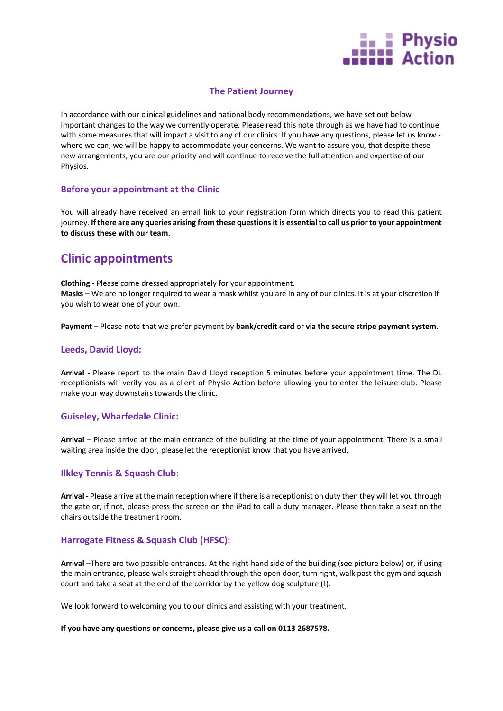

### **The Patient Journey**

In accordance with our clinical guidelines and national body recommendations, we have set out below important changes to the way we currently operate. Please read this note through as we have had to continue with some measures that will impact a visit to any of our clinics. If you have any questions, please let us know where we can, we will be happy to accommodate your concerns. We want to assure you, that despite these new arrangements, you are our priority and will continue to receive the full attention and expertise of our Physios.

#### **Before your appointment at the Clinic**

You will already have received an email link to your registration form which directs you to read this patient journey. **If there are any queries arising from these questions it is essential to call us prior to your appointment to discuss these with our team**.

# **Clinic appointments**

**Clothing** - Please come dressed appropriately for your appointment. **Masks** – We are no longer required to wear a mask whilst you are in any of our clinics. It is at your discretion if you wish to wear one of your own.

**Payment** – Please note that we prefer payment by **bank/credit card** or **via the secure stripe payment system**.

#### **Leeds, David Lloyd:**

**Arrival** - Please report to the main David Lloyd reception 5 minutes before your appointment time. The DL receptionists will verify you as a client of Physio Action before allowing you to enter the leisure club. Please make your way downstairs towards the clinic.

#### **Guiseley, Wharfedale Clinic:**

**Arrival** – Please arrive at the main entrance of the building at the time of your appointment. There is a small waiting area inside the door, please let the receptionist know that you have arrived.

#### **Ilkley Tennis & Squash Club:**

**Arrival** - Please arrive at the main reception where if there is a receptionist on duty then they will let you through the gate or, if not, please press the screen on the iPad to call a duty manager. Please then take a seat on the chairs outside the treatment room.

### **Harrogate Fitness & Squash Club (HFSC):**

**Arrival** –There are two possible entrances. At the right-hand side of the building (see picture below) or, if using the main entrance, please walk straight ahead through the open door, turn right, walk past the gym and squash court and take a seat at the end of the corridor by the yellow dog sculpture (!).

We look forward to welcoming you to our clinics and assisting with your treatment.

#### **If you have any questions or concerns, please give us a call on 0113 2687578.**